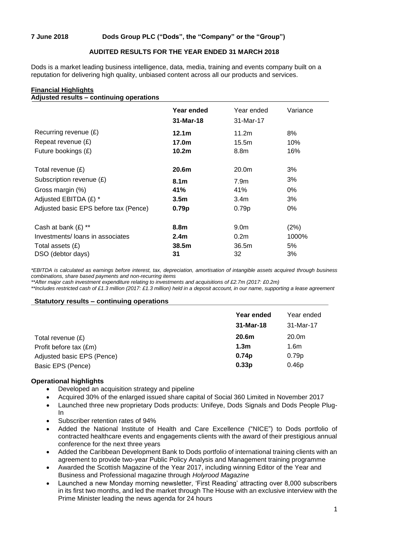# **AUDITED RESULTS FOR THE YEAR ENDED 31 MARCH 2018**

Dods is a market leading business intelligence, data, media, training and events company built on a reputation for delivering high quality, unbiased content across all our products and services.

# **Financial Highlights**

**Adjusted results – continuing operations**

|                                       | Year ended<br>31-Mar-18 | Year ended<br>31-Mar-17 | Variance |
|---------------------------------------|-------------------------|-------------------------|----------|
| Recurring revenue $(E)$               | 12.1 <sub>m</sub>       | 11.2m                   | 8%       |
| Repeat revenue (£)                    | 17.0m                   | 15.5m                   | 10%      |
| Future bookings (£)                   | 10.2 <sub>m</sub>       | 8.8 <sub>m</sub>        | 16%      |
| Total revenue $(E)$                   | 20.6m                   | 20.0m                   | 3%       |
| Subscription revenue (£)              | 8.1 <sub>m</sub>        | 7.9 <sub>m</sub>        | 3%       |
| Gross margin (%)                      | 41%                     | 41%                     | 0%       |
| Adjusted EBITDA (£) *                 | 3.5 <sub>m</sub>        | 3.4 <sub>m</sub>        | 3%       |
| Adjusted basic EPS before tax (Pence) | 0.79p                   | 0.79 <sub>p</sub>       | 0%       |
| Cash at bank $(E)$ **                 | 8.8m                    | 9.0m                    | (2%)     |
| Investments/ loans in associates      | 2.4 <sub>m</sub>        | 0.2 <sub>m</sub>        | 1000%    |
| Total assets $(E)$                    | 38.5 <sub>m</sub>       | 36.5m                   | 5%       |
| DSO (debtor days)                     | 31                      | 32                      | 3%       |

*\*EBITDA is calculated as earnings before interest, tax, depreciation, amortisation of intangible assets acquired through business combinations, share based payments and non-recurring items*

*\*\*After major cash investment expenditure relating to investments and acquisitions of £2.7m (2017: £0.2m)* 

*\*\*Includes restricted cash of £1.3 million (2017: £1.3 million) held in a deposit account, in our name, supporting a lease agreement*

# **Statutory results – continuing operations**

|                            | Year ended<br>31-Mar-18 | Year ended<br>31-Mar-17 |
|----------------------------|-------------------------|-------------------------|
| Total revenue $(E)$        | 20.6m                   | 20.0m                   |
| Profit before tax (£m)     | 1.3 <sub>m</sub>        | 1.6 <sub>m</sub>        |
| Adjusted basic EPS (Pence) | 0.74p                   | 0.79 <sub>p</sub>       |
| Basic EPS (Pence)          | 0.33 <sub>p</sub>       | 0.46p                   |

# **Operational highlights**

- Developed an acquisition strategy and pipeline
- Acquired 30% of the enlarged issued share capital of Social 360 Limited in November 2017
- Launched three new proprietary Dods products: Unifeye, Dods Signals and Dods People Plug-In
- Subscriber retention rates of 94%
- Added the National Institute of Health and Care Excellence ("NICE") to Dods portfolio of contracted healthcare events and engagements clients with the award of their prestigious annual conference for the next three years
- Added the Caribbean Development Bank to Dods portfolio of international training clients with an agreement to provide two-year Public Policy Analysis and Management training programme
- Awarded the Scottish Magazine of the Year 2017, including winning Editor of the Year and Business and Professional magazine through *Holyrood Magazine*
- Launched a new Monday morning newsletter, 'First Reading' attracting over 8,000 subscribers in its first two months, and led the market through The House with an exclusive interview with the Prime Minister leading the news agenda for 24 hours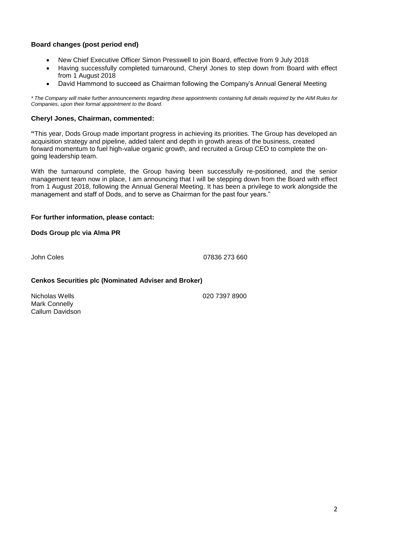# **Board changes (post period end)**

- New Chief Executive Officer Simon Presswell to join Board, effective from 9 July 2018
- Having successfully completed turnaround, Cheryl Jones to step down from Board with effect from 1 August 2018
- David Hammond to succeed as Chairman following the Company's Annual General Meeting

*\* The Company will make further announcements regarding these appointments containing full details required by the AIM Rules for Companies, upon their formal appointment to the Board.*

# **Cheryl Jones, Chairman, commented:**

**"**This year, Dods Group made important progress in achieving its priorities. The Group has developed an acquisition strategy and pipeline, added talent and depth in growth areas of the business, created forward momentum to fuel high-value organic growth, and recruited a Group CEO to complete the ongoing leadership team.

With the turnaround complete, the Group having been successfully re-positioned, and the senior management team now in place, I am announcing that I will be stepping down from the Board with effect from 1 August 2018, following the Annual General Meeting. It has been a privilege to work alongside the management and staff of Dods, and to serve as Chairman for the past four years."

# **For further information, please contact:**

# **Dods Group plc via Alma PR**

John Coles 07836 273 660

# **Cenkos Securities plc (Nominated Adviser and Broker)**

Nicholas Wells 020 7397 8900 Mark Connelly Callum Davidson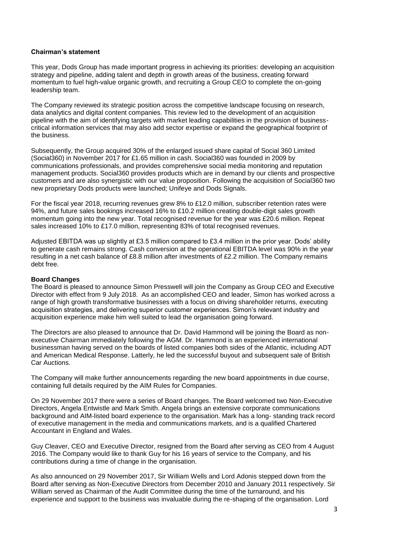### **Chairman's statement**

This year, Dods Group has made important progress in achieving its priorities: developing an acquisition strategy and pipeline, adding talent and depth in growth areas of the business, creating forward momentum to fuel high-value organic growth, and recruiting a Group CEO to complete the on-going leadership team.

The Company reviewed its strategic position across the competitive landscape focusing on research, data analytics and digital content companies. This review led to the development of an acquisition pipeline with the aim of identifying targets with market leading capabilities in the provision of businesscritical information services that may also add sector expertise or expand the geographical footprint of the business.

Subsequently, the Group acquired 30% of the enlarged issued share capital of Social 360 Limited (Social360) in November 2017 for £1.65 million in cash. Social360 was founded in 2009 by communications professionals, and provides comprehensive social media monitoring and reputation management products. Social360 provides products which are in demand by our clients and prospective customers and are also synergistic with our value proposition. Following the acquisition of Social360 two new proprietary Dods products were launched; Unifeye and Dods Signals.

For the fiscal year 2018, recurring revenues grew 8% to £12.0 million, subscriber retention rates were 94%, and future sales bookings increased 16% to £10.2 million creating double-digit sales growth momentum going into the new year. Total recognised revenue for the year was £20.6 million. Repeat sales increased 10% to £17.0 million, representing 83% of total recognised revenues.

Adjusted EBITDA was up slightly at £3.5 million compared to £3.4 million in the prior year. Dods' ability to generate cash remains strong. Cash conversion at the operational EBITDA level was 90% in the year resulting in a net cash balance of £8.8 million after investments of £2.2 million. The Company remains debt free.

### **Board Changes**

The Board is pleased to announce Simon Presswell will join the Company as Group CEO and Executive Director with effect from 9 July 2018. As an accomplished CEO and leader, Simon has worked across a range of high growth transformative businesses with a focus on driving shareholder returns, executing acquisition strategies, and delivering superior customer experiences. Simon's relevant industry and acquisition experience make him well suited to lead the organisation going forward.

The Directors are also pleased to announce that Dr. David Hammond will be joining the Board as nonexecutive Chairman immediately following the AGM. Dr. Hammond is an experienced international businessman having served on the boards of listed companies both sides of the Atlantic, including ADT and American Medical Response. Latterly, he led the successful buyout and subsequent sale of British Car Auctions.

The Company will make further announcements regarding the new board appointments in due course, containing full details required by the AIM Rules for Companies.

On 29 November 2017 there were a series of Board changes. The Board welcomed two Non-Executive Directors, Angela Entwistle and Mark Smith. Angela brings an extensive corporate communications background and AIM-listed board experience to the organisation. Mark has a long- standing track record of executive management in the media and communications markets, and is a qualified Chartered Accountant in England and Wales.

Guy Cleaver, CEO and Executive Director, resigned from the Board after serving as CEO from 4 August 2016. The Company would like to thank Guy for his 16 years of service to the Company, and his contributions during a time of change in the organisation.

As also announced on 29 November 2017, Sir William Wells and Lord Adonis stepped down from the Board after serving as Non-Executive Directors from December 2010 and January 2011 respectively. Sir William served as Chairman of the Audit Committee during the time of the turnaround, and his experience and support to the business was invaluable during the re-shaping of the organisation. Lord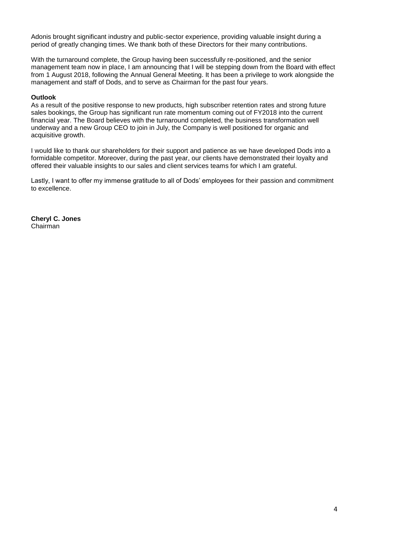Adonis brought significant industry and public-sector experience, providing valuable insight during a period of greatly changing times. We thank both of these Directors for their many contributions.

With the turnaround complete, the Group having been successfully re-positioned, and the senior management team now in place, I am announcing that I will be stepping down from the Board with effect from 1 August 2018, following the Annual General Meeting. It has been a privilege to work alongside the management and staff of Dods, and to serve as Chairman for the past four years.

# **Outlook**

As a result of the positive response to new products, high subscriber retention rates and strong future sales bookings, the Group has significant run rate momentum coming out of FY2018 into the current financial year. The Board believes with the turnaround completed, the business transformation well underway and a new Group CEO to join in July, the Company is well positioned for organic and acquisitive growth.

I would like to thank our shareholders for their support and patience as we have developed Dods into a formidable competitor. Moreover, during the past year, our clients have demonstrated their loyalty and offered their valuable insights to our sales and client services teams for which I am grateful.

Lastly, I want to offer my immense gratitude to all of Dods' employees for their passion and commitment to excellence.

**Cheryl C. Jones** Chairman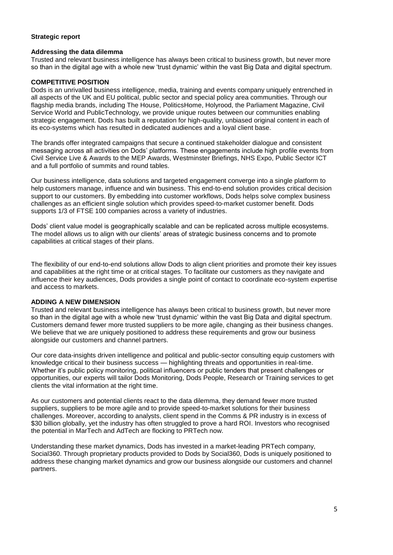# **Strategic report**

# **Addressing the data dilemma**

Trusted and relevant business intelligence has always been critical to business growth, but never more so than in the digital age with a whole new 'trust dynamic' within the vast Big Data and digital spectrum.

# **COMPETITIVE POSITION**

Dods is an unrivalled business intelligence, media, training and events company uniquely entrenched in all aspects of the UK and EU political, public sector and special policy area communities. Through our flagship media brands, including The House, PoliticsHome, Holyrood, the Parliament Magazine, Civil Service World and PublicTechnology, we provide unique routes between our communities enabling strategic engagement. Dods has built a reputation for high-quality, unbiased original content in each of its eco-systems which has resulted in dedicated audiences and a loyal client base.

The brands offer integrated campaigns that secure a continued stakeholder dialogue and consistent messaging across all activities on Dods' platforms. These engagements include high profile events from Civil Service Live & Awards to the MEP Awards, Westminster Briefings, NHS Expo, Public Sector ICT and a full portfolio of summits and round tables.

Our business intelligence, data solutions and targeted engagement converge into a single platform to help customers manage, influence and win business. This end-to-end solution provides critical decision support to our customers. By embedding into customer workflows, Dods helps solve complex business challenges as an efficient single solution which provides speed-to-market customer benefit. Dods supports 1/3 of FTSE 100 companies across a variety of industries.

Dods' client value model is geographically scalable and can be replicated across multiple ecosystems. The model allows us to align with our clients' areas of strategic business concerns and to promote capabilities at critical stages of their plans.

The flexibility of our end-to-end solutions allow Dods to align client priorities and promote their key issues and capabilities at the right time or at critical stages. To facilitate our customers as they navigate and influence their key audiences, Dods provides a single point of contact to coordinate eco-system expertise and access to markets.

# **ADDING A NEW DIMENSION**

Trusted and relevant business intelligence has always been critical to business growth, but never more so than in the digital age with a whole new 'trust dynamic' within the vast Big Data and digital spectrum. Customers demand fewer more trusted suppliers to be more agile, changing as their business changes. We believe that we are uniquely positioned to address these requirements and grow our business alongside our customers and channel partners.

Our core data-insights driven intelligence and political and public-sector consulting equip customers with knowledge critical to their business success — highlighting threats and opportunities in real-time. Whether it's public policy monitoring, political influencers or public tenders that present challenges or opportunities, our experts will tailor Dods Monitoring, Dods People, Research or Training services to get clients the vital information at the right time.

As our customers and potential clients react to the data dilemma, they demand fewer more trusted suppliers, suppliers to be more agile and to provide speed-to-market solutions for their business challenges. Moreover, according to analysts, client spend in the Comms & PR industry is in excess of \$30 billion globally, yet the industry has often struggled to prove a hard ROI. Investors who recognised the potential in MarTech and AdTech are flocking to PRTech now.

Understanding these market dynamics, Dods has invested in a market-leading PRTech company, Social360. Through proprietary products provided to Dods by Social360, Dods is uniquely positioned to address these changing market dynamics and grow our business alongside our customers and channel partners.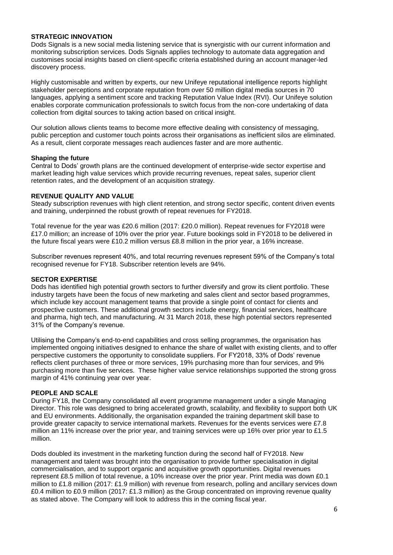# **STRATEGIC INNOVATION**

Dods Signals is a new social media listening service that is synergistic with our current information and monitoring subscription services. Dods Signals applies technology to automate data aggregation and customises social insights based on client-specific criteria established during an account manager-led discovery process.

Highly customisable and written by experts, our new Unifeye reputational intelligence reports highlight stakeholder perceptions and corporate reputation from over 50 million digital media sources in 70 languages, applying a sentiment score and tracking Reputation Value Index (RVI). Our Unifeye solution enables corporate communication professionals to switch focus from the non-core undertaking of data collection from digital sources to taking action based on critical insight.

Our solution allows clients teams to become more effective dealing with consistency of messaging, public perception and customer touch points across their organisations as inefficient silos are eliminated. As a result, client corporate messages reach audiences faster and are more authentic.

# **Shaping the future**

Central to Dods' growth plans are the continued development of enterprise-wide sector expertise and market leading high value services which provide recurring revenues, repeat sales, superior client retention rates, and the development of an acquisition strategy.

# **REVENUE QUALITY AND VALUE**

Steady subscription revenues with high client retention, and strong sector specific, content driven events and training, underpinned the robust growth of repeat revenues for FY2018.

Total revenue for the year was £20.6 million (2017: £20.0 million). Repeat revenues for FY2018 were £17.0 million; an increase of 10% over the prior year. Future bookings sold in FY2018 to be delivered in the future fiscal years were £10.2 million versus £8.8 million in the prior year, a 16% increase.

Subscriber revenues represent 40%, and total recurring revenues represent 59% of the Company's total recognised revenue for FY18. Subscriber retention levels are 94%.

# **SECTOR EXPERTISE**

Dods has identified high potential growth sectors to further diversify and grow its client portfolio. These industry targets have been the focus of new marketing and sales client and sector based programmes, which include key account management teams that provide a single point of contact for clients and prospective customers. These additional growth sectors include energy, financial services, healthcare and pharma, high tech, and manufacturing. At 31 March 2018, these high potential sectors represented 31% of the Company's revenue.

Utilising the Company's end-to-end capabilities and cross selling programmes, the organisation has implemented ongoing initiatives designed to enhance the share of wallet with existing clients, and to offer perspective customers the opportunity to consolidate suppliers. For FY2018, 33% of Dods' revenue reflects client purchases of three or more services, 19% purchasing more than four services, and 9% purchasing more than five services. These higher value service relationships supported the strong gross margin of 41% continuing year over year.

# **PEOPLE AND SCALE**

During FY18, the Company consolidated all event programme management under a single Managing Director. This role was designed to bring accelerated growth, scalability, and flexibility to support both UK and EU environments. Additionally, the organisation expanded the training department skill base to provide greater capacity to service international markets. Revenues for the events services were £7.8 million an 11% increase over the prior year, and training services were up 16% over prior year to £1.5 million.

Dods doubled its investment in the marketing function during the second half of FY2018. New management and talent was brought into the organisation to provide further specialisation in digital commercialisation, and to support organic and acquisitive growth opportunities. Digital revenues represent £8.5 million of total revenue, a 10% increase over the prior year. Print media was down £0.1 million to £1.8 million (2017: £1.9 million) with revenue from research, polling and ancillary services down £0.4 million to £0.9 million (2017: £1.3 million) as the Group concentrated on improving revenue quality as stated above. The Company will look to address this in the coming fiscal year.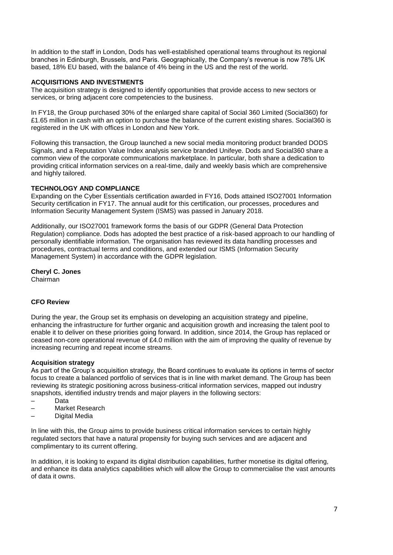In addition to the staff in London, Dods has well-established operational teams throughout its regional branches in Edinburgh, Brussels, and Paris. Geographically, the Company's revenue is now 78% UK based, 18% EU based, with the balance of 4% being in the US and the rest of the world.

# **ACQUISITIONS AND INVESTMENTS**

The acquisition strategy is designed to identify opportunities that provide access to new sectors or services, or bring adjacent core competencies to the business.

In FY18, the Group purchased 30% of the enlarged share capital of Social 360 Limited (Social360) for £1.65 million in cash with an option to purchase the balance of the current existing shares. Social360 is registered in the UK with offices in London and New York.

Following this transaction, the Group launched a new social media monitoring product branded DODS Signals, and a Reputation Value Index analysis service branded Unifeye. Dods and Social360 share a common view of the corporate communications marketplace. In particular, both share a dedication to providing critical information services on a real-time, daily and weekly basis which are comprehensive and highly tailored.

# **TECHNOLOGY AND COMPLIANCE**

Expanding on the Cyber Essentials certification awarded in FY16, Dods attained ISO27001 Information Security certification in FY17. The annual audit for this certification, our processes, procedures and Information Security Management System (ISMS) was passed in January 2018.

Additionally, our ISO27001 framework forms the basis of our GDPR (General Data Protection Regulation) compliance. Dods has adopted the best practice of a risk-based approach to our handling of personally identifiable information. The organisation has reviewed its data handling processes and procedures, contractual terms and conditions, and extended our ISMS (Information Security Management System) in accordance with the GDPR legislation.

# **Cheryl C. Jones**

Chairman

# **CFO Review**

During the year, the Group set its emphasis on developing an acquisition strategy and pipeline, enhancing the infrastructure for further organic and acquisition growth and increasing the talent pool to enable it to deliver on these priorities going forward. In addition, since 2014, the Group has replaced or ceased non-core operational revenue of £4.0 million with the aim of improving the quality of revenue by increasing recurring and repeat income streams.

# **Acquisition strategy**

As part of the Group's acquisition strategy, the Board continues to evaluate its options in terms of sector focus to create a balanced portfolio of services that is in line with market demand. The Group has been reviewing its strategic positioning across business-critical information services, mapped out industry snapshots, identified industry trends and major players in the following sectors:

- Data
- Market Research
- Digital Media

In line with this, the Group aims to provide business critical information services to certain highly regulated sectors that have a natural propensity for buying such services and are adjacent and complimentary to its current offering.

In addition, it is looking to expand its digital distribution capabilities, further monetise its digital offering, and enhance its data analytics capabilities which will allow the Group to commercialise the vast amounts of data it owns.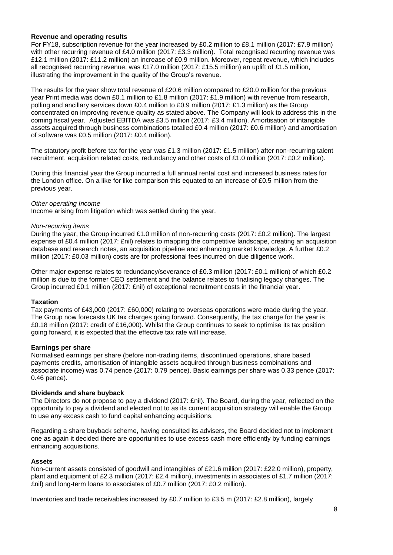# **Revenue and operating results**

For FY18, subscription revenue for the year increased by £0.2 million to £8.1 million (2017: £7.9 million) with other recurring revenue of £4.0 million (2017: £3.3 million). Total recognised recurring revenue was £12.1 million (2017: £11.2 million) an increase of £0.9 million. Moreover, repeat revenue, which includes all recognised recurring revenue, was £17.0 million (2017: £15.5 million) an uplift of £1.5 million, illustrating the improvement in the quality of the Group's revenue.

The results for the year show total revenue of £20.6 million compared to £20.0 million for the previous year Print media was down £0.1 million to £1.8 million (2017: £1.9 million) with revenue from research, polling and ancillary services down £0.4 million to £0.9 million (2017: £1.3 million) as the Group concentrated on improving revenue quality as stated above. The Company will look to address this in the coming fiscal year. Adjusted EBITDA was £3.5 million (2017: £3.4 million). Amortisation of intangible assets acquired through business combinations totalled £0.4 million (2017: £0.6 million) and amortisation of software was £0.5 million (2017: £0.4 million).

The statutory profit before tax for the year was £1.3 million (2017: £1.5 million) after non-recurring talent recruitment, acquisition related costs, redundancy and other costs of £1.0 million (2017: £0.2 million).

During this financial year the Group incurred a full annual rental cost and increased business rates for the London office. On a like for like comparison this equated to an increase of £0.5 million from the previous year.

# *Other operating Income*

Income arising from litigation which was settled during the year.

### *Non-recurring items*

During the year, the Group incurred £1.0 million of non-recurring costs (2017: £0.2 million). The largest expense of £0.4 million (2017: £nil) relates to mapping the competitive landscape, creating an acquisition database and research notes, an acquisition pipeline and enhancing market knowledge. A further £0.2 million (2017: £0.03 million) costs are for professional fees incurred on due diligence work.

Other major expense relates to redundancy/severance of £0.3 million (2017: £0.1 million) of which £0.2 million is due to the former CEO settlement and the balance relates to finalising legacy changes. The Group incurred £0.1 million (2017: £nil) of exceptional recruitment costs in the financial year.

# **Taxation**

Tax payments of £43,000 (2017: £60,000) relating to overseas operations were made during the year. The Group now forecasts UK tax charges going forward. Consequently, the tax charge for the year is £0.18 million (2017: credit of £16,000). Whilst the Group continues to seek to optimise its tax position going forward, it is expected that the effective tax rate will increase.

# **Earnings per share**

Normalised earnings per share (before non-trading items, discontinued operations, share based payments credits, amortisation of intangible assets acquired through business combinations and associate income) was 0.74 pence (2017: 0.79 pence). Basic earnings per share was 0.33 pence (2017: 0.46 pence).

# **Dividends and share buyback**

The Directors do not propose to pay a dividend (2017: £nil). The Board, during the year, reflected on the opportunity to pay a dividend and elected not to as its current acquisition strategy will enable the Group to use any excess cash to fund capital enhancing acquisitions.

Regarding a share buyback scheme, having consulted its advisers, the Board decided not to implement one as again it decided there are opportunities to use excess cash more efficiently by funding earnings enhancing acquisitions.

### **Assets**

Non-current assets consisted of goodwill and intangibles of £21.6 million (2017: £22.0 million), property, plant and equipment of £2.3 million (2017: £2.4 million), investments in associates of £1.7 million (2017: £nil) and long-term loans to associates of £0.7 million (2017: £0.2 million).

Inventories and trade receivables increased by £0.7 million to £3.5 m (2017: £2.8 million), largely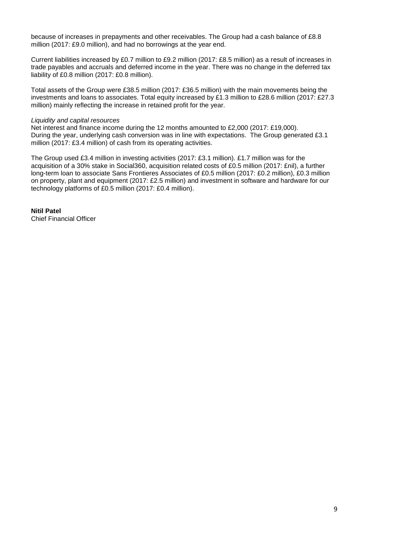because of increases in prepayments and other receivables. The Group had a cash balance of £8.8 million (2017: £9.0 million), and had no borrowings at the year end.

Current liabilities increased by £0.7 million to £9.2 million (2017: £8.5 million) as a result of increases in trade payables and accruals and deferred income in the year. There was no change in the deferred tax liability of £0.8 million (2017: £0.8 million).

Total assets of the Group were £38.5 million (2017: £36.5 million) with the main movements being the investments and loans to associates. Total equity increased by £1.3 million to £28.6 million (2017: £27.3 million) mainly reflecting the increase in retained profit for the year.

### *Liquidity and capital resources*

Net interest and finance income during the 12 months amounted to £2,000 (2017: £19,000). During the year, underlying cash conversion was in line with expectations. The Group generated £3.1 million (2017: £3.4 million) of cash from its operating activities.

The Group used £3.4 million in investing activities (2017: £3.1 million). £1.7 million was for the acquisition of a 30% stake in Social360, acquisition related costs of £0.5 million (2017: £nil), a further long-term loan to associate Sans Frontieres Associates of £0.5 million (2017: £0.2 million), £0.3 million on property, plant and equipment (2017: £2.5 million) and investment in software and hardware for our technology platforms of £0.5 million (2017: £0.4 million).

**Nitil Patel** Chief Financial Officer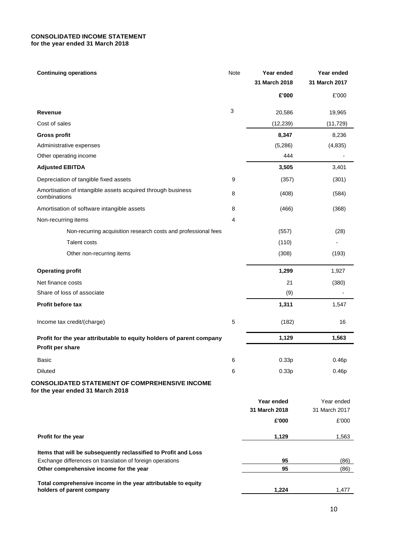# **CONSOLIDATED INCOME STATEMENT for the year ended 31 March 2018**

| <b>Continuing operations</b>                                                               | Note | Year ended<br>31 March 2018 | Year ended<br>31 March 2017 |
|--------------------------------------------------------------------------------------------|------|-----------------------------|-----------------------------|
|                                                                                            |      | £'000                       | £'000                       |
| Revenue                                                                                    | 3    | 20,586                      | 19,965                      |
| Cost of sales                                                                              |      | (12, 239)                   | (11, 729)                   |
| <b>Gross profit</b>                                                                        |      | 8,347                       | 8,236                       |
| Administrative expenses                                                                    |      | (5,286)                     | (4,835)                     |
| Other operating income                                                                     |      | 444                         |                             |
| <b>Adjusted EBITDA</b>                                                                     |      | 3,505                       | 3,401                       |
| Depreciation of tangible fixed assets                                                      | 9    | (357)                       | (301)                       |
| Amortisation of intangible assets acquired through business<br>combinations                | 8    | (408)                       | (584)                       |
| Amortisation of software intangible assets                                                 | 8    | (466)                       | (368)                       |
| Non-recurring items                                                                        | 4    |                             |                             |
| Non-recurring acquisition research costs and professional fees                             |      | (557)                       | (28)                        |
| <b>Talent costs</b>                                                                        |      | (110)                       |                             |
| Other non-recurring items                                                                  |      | (308)                       | (193)                       |
| <b>Operating profit</b>                                                                    |      | 1,299                       | 1,927                       |
| Net finance costs                                                                          |      | 21                          | (380)                       |
| Share of loss of associate                                                                 |      | (9)                         |                             |
| Profit before tax                                                                          |      | 1,311                       | 1,547                       |
| Income tax credit/(charge)                                                                 | 5    | (182)                       | 16                          |
| Profit for the year attributable to equity holders of parent company<br>Profit per share   |      | 1,129                       | 1,563                       |
| Basic                                                                                      | 6    | 0.33p                       | 0.46p                       |
| <b>Diluted</b>                                                                             | 6    | 0.33p                       | 0.46p                       |
| <b>CONSOLIDATED STATEMENT OF COMPREHENSIVE INCOME</b><br>for the year ended 31 March 2018  |      |                             |                             |
|                                                                                            |      | Year ended                  | Year ended                  |
|                                                                                            |      | 31 March 2018               | 31 March 2017               |
|                                                                                            |      | £'000                       | £'000                       |
| Profit for the year                                                                        |      | 1,129                       | 1,563                       |
| Items that will be subsequently reclassified to Profit and Loss                            |      |                             |                             |
| Exchange differences on translation of foreign operations                                  |      | 95<br>95                    | (86)                        |
| Other comprehensive income for the year                                                    |      |                             | (86)                        |
| Total comprehensive income in the year attributable to equity<br>holders of parent company |      | 1,224                       | 1,477                       |
|                                                                                            |      |                             |                             |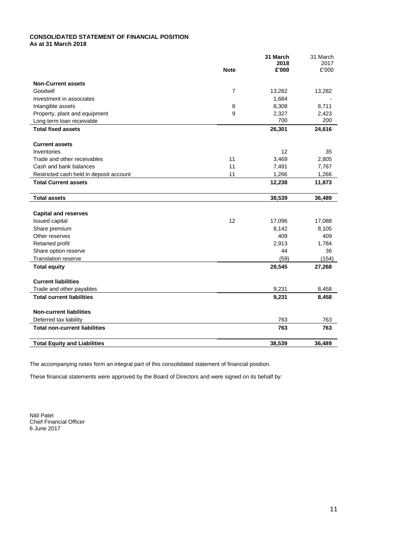### **CONSOLIDATED STATEMENT OF FINANCIAL POSITION As at 31 March 2018**

|                                         |                | 31 March<br>2018 | 31 March<br>2017 |
|-----------------------------------------|----------------|------------------|------------------|
|                                         | <b>Note</b>    | £'000            | £'000            |
|                                         |                |                  |                  |
| <b>Non-Current assets</b>               |                |                  |                  |
| Goodwill                                | $\overline{7}$ | 13,282           | 13,282           |
| Investment in associates                |                | 1,684            |                  |
| Intangible assets                       | 8              | 8,308            | 8,711            |
| Property, plant and equipment           | 9              | 2,327            | 2,423            |
| Long term loan receivable               |                | 700              | 200              |
| <b>Total fixed assets</b>               |                | 26,301           | 24,616           |
| <b>Current assets</b>                   |                |                  |                  |
| Inventories                             |                | 12               | 35               |
| Trade and other receivables             | 11             | 3,469            | 2,805            |
| Cash and bank balances                  | 11             | 7,491            | 7,767            |
| Restricted cash held in deposit account | 11             | 1,266            | 1,266            |
| <b>Total Current assets</b>             |                | 12,238           | 11,873           |
| <b>Total assets</b>                     |                | 38,539           | 36,489           |
|                                         |                |                  |                  |
| <b>Capital and reserves</b>             |                |                  |                  |
| Issued capital                          | 12             | 17,096           | 17,088           |
| Share premium                           |                | 8,142            | 8,105            |
| Other reserves                          |                | 409              | 409              |
| Retained profit                         |                | 2,913            | 1,784            |
| Share option reserve                    |                | 44               | 36               |
| <b>Translation reserve</b>              |                | (59)             | (154)            |
| <b>Total equity</b>                     |                | 28,545           | 27,268           |
| <b>Current liabilities</b>              |                |                  |                  |
| Trade and other payables                |                | 9,231            | 8,458            |
| <b>Total current liabilities</b>        |                | 9,231            | 8,458            |
| <b>Non-current liabilities</b>          |                |                  |                  |
| Deferred tax liability                  |                | 763              | 763              |
| <b>Total non-current liabilities</b>    |                | 763              | 763              |
| <b>Total Equity and Liabilities</b>     |                | 38,539           | 36,489           |

The accompanying notes form an integral part of this consolidated statement of financial position.

These financial statements were approved by the Board of Directors and were signed on its behalf by:

Nitil Patel Chief Financial Officer 6 June 2017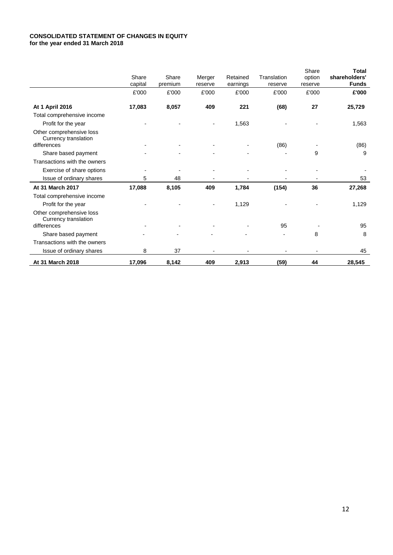# **CONSOLIDATED STATEMENT OF CHANGES IN EQUITY for the year ended 31 March 2018**

|                                                                 | Share<br>capital | Share<br>premium | Merger<br>reserve | Retained<br>earnings | Translation<br>reserve | Share<br>option<br>reserve | Total<br>shareholders'<br><b>Funds</b> |
|-----------------------------------------------------------------|------------------|------------------|-------------------|----------------------|------------------------|----------------------------|----------------------------------------|
|                                                                 | £'000            | £'000            | £'000             | £'000                | £'000                  | £'000                      | £'000                                  |
| At 1 April 2016                                                 | 17,083           | 8,057            | 409               | 221                  | (68)                   | 27                         | 25,729                                 |
| Total comprehensive income                                      |                  |                  |                   |                      |                        |                            |                                        |
| Profit for the year                                             |                  |                  |                   | 1,563                |                        |                            | 1,563                                  |
| Other comprehensive loss<br>Currency translation<br>differences |                  |                  |                   |                      | (86)                   |                            | (86)                                   |
| Share based payment                                             |                  |                  |                   |                      |                        | 9                          | 9                                      |
| Transactions with the owners                                    |                  |                  |                   |                      |                        |                            |                                        |
| Exercise of share options                                       |                  |                  |                   |                      |                        |                            |                                        |
| Issue of ordinary shares                                        | 5                | 48               |                   |                      |                        |                            | 53                                     |
| At 31 March 2017                                                | 17,088           | 8,105            | 409               | 1,784                | (154)                  | 36                         | 27,268                                 |
| Total comprehensive income                                      |                  |                  |                   |                      |                        |                            |                                        |
| Profit for the year                                             |                  |                  |                   | 1,129                |                        |                            | 1,129                                  |
| Other comprehensive loss<br>Currency translation<br>differences |                  |                  |                   |                      | 95                     |                            | 95                                     |
| Share based payment                                             |                  |                  |                   |                      | $\overline{a}$         | 8                          | 8                                      |
| Transactions with the owners                                    |                  |                  |                   |                      |                        |                            |                                        |
| Issue of ordinary shares                                        | 8                | 37               |                   |                      |                        |                            | 45                                     |
| At 31 March 2018                                                | 17,096           | 8,142            | 409               | 2,913                | (59)                   | 44                         | 28,545                                 |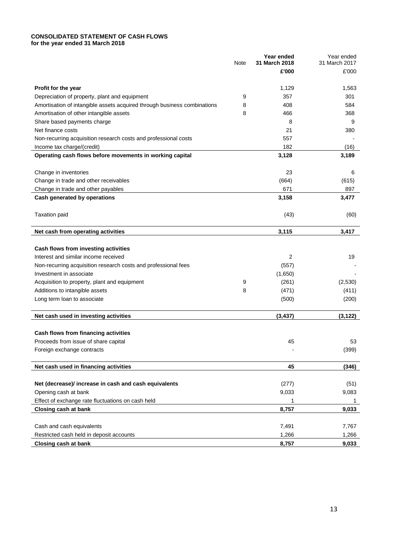# **CONSOLIDATED STATEMENT OF CASH FLOWS for the year ended 31 March 2018**

|                                                                          | Note | Year ended<br>31 March 2018 | Year ended<br>31 March 2017 |
|--------------------------------------------------------------------------|------|-----------------------------|-----------------------------|
|                                                                          |      | £'000                       | £'000                       |
| Profit for the year                                                      |      | 1,129                       | 1,563                       |
| Depreciation of property, plant and equipment                            | 9    | 357                         | 301                         |
| Amortisation of intangible assets acquired through business combinations | 8    | 408                         | 584                         |
| Amortisation of other intangible assets                                  | 8    | 466                         | 368                         |
| Share based payments charge                                              |      | 8                           | 9                           |
| Net finance costs                                                        |      | 21                          | 380                         |
| Non-recurring acquisition research costs and professional costs          |      | 557                         |                             |
| Income tax charge/(credit)                                               |      | 182                         | (16)                        |
| Operating cash flows before movements in working capital                 |      | 3,128                       | 3,189                       |
| Change in inventories                                                    |      | 23                          | 6                           |
| Change in trade and other receivables                                    |      | (664)                       | (615)                       |
| Change in trade and other payables                                       |      | 671                         | 897                         |
| Cash generated by operations                                             |      | 3,158                       | 3,477                       |
| <b>Taxation paid</b>                                                     |      | (43)                        | (60)                        |
| Net cash from operating activities                                       |      | 3,115                       | 3,417                       |
|                                                                          |      |                             |                             |
| Cash flows from investing activities                                     |      |                             |                             |
| Interest and similar income received                                     |      | $\overline{2}$              | 19                          |
| Non-recurring acquisition research costs and professional fees           |      | (557)                       |                             |
| Investment in associate                                                  |      | (1,650)                     |                             |
| Acquisition to property, plant and equipment                             | 9    | (261)                       | (2,530)                     |
| Additions to intangible assets                                           | 8    | (471)                       | (411)                       |
| Long term loan to associate                                              |      | (500)                       | (200)                       |
| Net cash used in investing activities                                    |      | (3, 437)                    | (3, 122)                    |
| Cash flows from financing activities                                     |      |                             |                             |
| Proceeds from issue of share capital                                     |      | 45                          | 53                          |
| Foreign exchange contracts                                               |      |                             | (399)                       |
|                                                                          |      |                             |                             |
| Net cash used in financing activities                                    |      | 45                          | (346)                       |
| Net (decrease)/ increase in cash and cash equivalents                    |      | (277)                       | (51)                        |
| Opening cash at bank                                                     |      | 9,033                       | 9,083                       |
| Effect of exchange rate fluctuations on cash held                        |      | 1                           | $\mathbf 1$                 |
| Closing cash at bank                                                     |      | 8,757                       | 9,033                       |
|                                                                          |      |                             |                             |
| Cash and cash equivalents                                                |      | 7,491                       | 7,767                       |
| Restricted cash held in deposit accounts                                 |      | 1,266                       | 1,266                       |
| Closing cash at bank                                                     |      | 8,757                       | 9,033                       |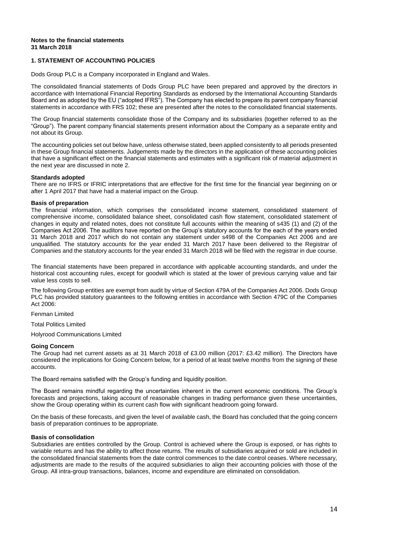### **Notes to the financial statements 31 March 2018**

### **1. STATEMENT OF ACCOUNTING POLICIES**

Dods Group PLC is a Company incorporated in England and Wales.

The consolidated financial statements of Dods Group PLC have been prepared and approved by the directors in accordance with International Financial Reporting Standards as endorsed by the International Accounting Standards Board and as adopted by the EU ("adopted IFRS"). The Company has elected to prepare its parent company financial statements in accordance with FRS 102; these are presented after the notes to the consolidated financial statements.

The Group financial statements consolidate those of the Company and its subsidiaries (together referred to as the "Group"). The parent company financial statements present information about the Company as a separate entity and not about its Group.

The accounting policies set out below have, unless otherwise stated, been applied consistently to all periods presented in these Group financial statements. Judgements made by the directors in the application of these accounting policies that have a significant effect on the financial statements and estimates with a significant risk of material adjustment in the next year are discussed in note 2.

#### **Standards adopted**

There are no IFRS or IFRIC interpretations that are effective for the first time for the financial year beginning on or after 1 April 2017 that have had a material impact on the Group.

#### **Basis of preparation**

The financial information, which comprises the consolidated income statement, consolidated statement of comprehensive income, consolidated balance sheet, consolidated cash flow statement, consolidated statement of changes in equity and related notes, does not constitute full accounts within the meaning of s435 (1) and (2) of the Companies Act 2006. The auditors have reported on the Group's statutory accounts for the each of the years ended 31 March 2018 and 2017 which do not contain any statement under s498 of the Companies Act 2006 and are unqualified. The statutory accounts for the year ended 31 March 2017 have been delivered to the Registrar of Companies and the statutory accounts for the year ended 31 March 2018 will be filed with the registrar in due course.

The financial statements have been prepared in accordance with applicable accounting standards, and under the historical cost accounting rules, except for goodwill which is stated at the lower of previous carrying value and fair value less costs to sell.

The following Group entities are exempt from audit by virtue of Section 479A of the Companies Act 2006. Dods Group PLC has provided statutory guarantees to the following entities in accordance with Section 479C of the Companies Act 2006:

Fenman Limited

Total Politics Limited

Holyrood Communications Limited

#### **Going Concern**

The Group had net current assets as at 31 March 2018 of £3.00 million (2017: £3.42 million). The Directors have considered the implications for Going Concern below, for a period of at least twelve months from the signing of these accounts.

The Board remains satisfied with the Group's funding and liquidity position.

The Board remains mindful regarding the uncertainties inherent in the current economic conditions. The Group's forecasts and projections, taking account of reasonable changes in trading performance given these uncertainties, show the Group operating within its current cash flow with significant headroom going forward.

On the basis of these forecasts, and given the level of available cash, the Board has concluded that the going concern basis of preparation continues to be appropriate.

#### **Basis of consolidation**

Subsidiaries are entities controlled by the Group. Control is achieved where the Group is exposed, or has rights to variable returns and has the ability to affect those returns. The results of subsidiaries acquired or sold are included in the consolidated financial statements from the date control commences to the date control ceases. Where necessary, adjustments are made to the results of the acquired subsidiaries to align their accounting policies with those of the Group. All intra-group transactions, balances, income and expenditure are eliminated on consolidation.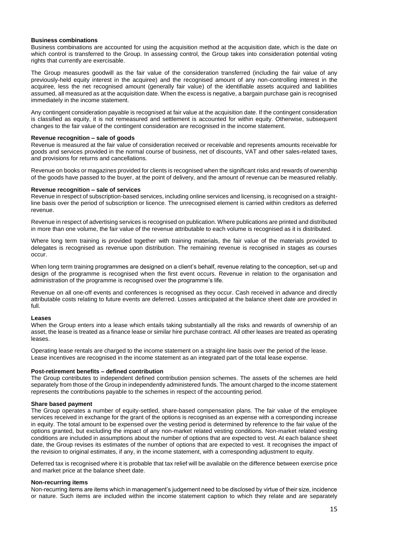### **Business combinations**

Business combinations are accounted for using the acquisition method at the acquisition date, which is the date on which control is transferred to the Group. In assessing control, the Group takes into consideration potential voting rights that currently are exercisable.

The Group measures goodwill as the fair value of the consideration transferred (including the fair value of any previously-held equity interest in the acquiree) and the recognised amount of any non-controlling interest in the acquiree, less the net recognised amount (generally fair value) of the identifiable assets acquired and liabilities assumed, all measured as at the acquisition date. When the excess is negative, a bargain purchase gain is recognised immediately in the income statement.

Any contingent consideration payable is recognised at fair value at the acquisition date. If the contingent consideration is classified as equity, it is not remeasured and settlement is accounted for within equity. Otherwise, subsequent changes to the fair value of the contingent consideration are recognised in the income statement.

#### **Revenue recognition – sale of goods**

Revenue is measured at the fair value of consideration received or receivable and represents amounts receivable for goods and services provided in the normal course of business, net of discounts, VAT and other sales-related taxes, and provisions for returns and cancellations.

Revenue on books or magazines provided for clients is recognised when the significant risks and rewards of ownership of the goods have passed to the buyer, at the point of delivery, and the amount of revenue can be measured reliably.

#### **Revenue recognition – sale of services**

Revenue in respect of subscription-based services, including online services and licensing, is recognised on a straightline basis over the period of subscription or licence. The unrecognised element is carried within creditors as deferred revenue.

Revenue in respect of advertising services is recognised on publication. Where publications are printed and distributed in more than one volume, the fair value of the revenue attributable to each volume is recognised as it is distributed.

Where long term training is provided together with training materials, the fair value of the materials provided to delegates is recognised as revenue upon distribution. The remaining revenue is recognised in stages as courses occur.

When long term training programmes are designed on a client's behalf, revenue relating to the conception, set-up and design of the programme is recognised when the first event occurs. Revenue in relation to the organisation and administration of the programme is recognised over the programme's life.

Revenue on all one-off events and conferences is recognised as they occur. Cash received in advance and directly attributable costs relating to future events are deferred. Losses anticipated at the balance sheet date are provided in full.

#### **Leases**

When the Group enters into a lease which entails taking substantially all the risks and rewards of ownership of an asset, the lease is treated as a finance lease or similar hire purchase contract. All other leases are treated as operating leases.

Operating lease rentals are charged to the income statement on a straight-line basis over the period of the lease. Lease incentives are recognised in the income statement as an integrated part of the total lease expense.

#### **Post-retirement benefits – defined contribution**

The Group contributes to independent defined contribution pension schemes. The assets of the schemes are held separately from those of the Group in independently administered funds. The amount charged to the income statement represents the contributions payable to the schemes in respect of the accounting period.

#### **Share based payment**

The Group operates a number of equity-settled, share-based compensation plans. The fair value of the employee services received in exchange for the grant of the options is recognised as an expense with a corresponding increase in equity. The total amount to be expensed over the vesting period is determined by reference to the fair value of the options granted, but excluding the impact of any non-market related vesting conditions. Non-market related vesting conditions are included in assumptions about the number of options that are expected to vest. At each balance sheet date, the Group revises its estimates of the number of options that are expected to vest. It recognises the impact of the revision to original estimates, if any, in the income statement, with a corresponding adjustment to equity.

Deferred tax is recognised where it is probable that tax relief will be available on the difference between exercise price and market price at the balance sheet date.

#### **Non-recurring items**

Non-recurring items are items which in management's judgement need to be disclosed by virtue of their size, incidence or nature. Such items are included within the income statement caption to which they relate and are separately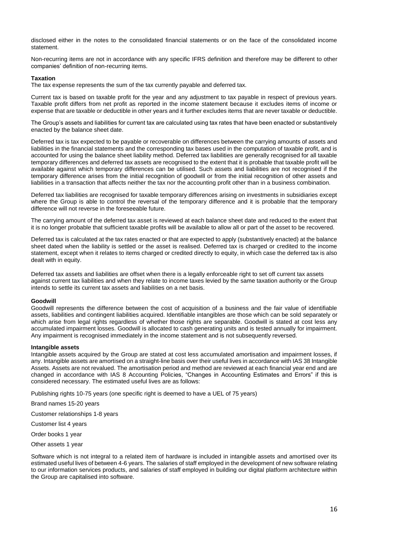disclosed either in the notes to the consolidated financial statements or on the face of the consolidated income statement.

Non-recurring items are not in accordance with any specific IFRS definition and therefore may be different to other companies' definition of non-recurring items.

#### **Taxation**

The tax expense represents the sum of the tax currently payable and deferred tax.

Current tax is based on taxable profit for the year and any adjustment to tax payable in respect of previous years. Taxable profit differs from net profit as reported in the income statement because it excludes items of income or expense that are taxable or deductible in other years and it further excludes items that are never taxable or deductible.

The Group's assets and liabilities for current tax are calculated using tax rates that have been enacted or substantively enacted by the balance sheet date.

Deferred tax is tax expected to be payable or recoverable on differences between the carrying amounts of assets and liabilities in the financial statements and the corresponding tax bases used in the computation of taxable profit, and is accounted for using the balance sheet liability method. Deferred tax liabilities are generally recognised for all taxable temporary differences and deferred tax assets are recognised to the extent that it is probable that taxable profit will be available against which temporary differences can be utilised. Such assets and liabilities are not recognised if the temporary difference arises from the initial recognition of goodwill or from the initial recognition of other assets and liabilities in a transaction that affects neither the tax nor the accounting profit other than in a business combination.

Deferred tax liabilities are recognised for taxable temporary differences arising on investments in subsidiaries except where the Group is able to control the reversal of the temporary difference and it is probable that the temporary difference will not reverse in the foreseeable future.

The carrying amount of the deferred tax asset is reviewed at each balance sheet date and reduced to the extent that it is no longer probable that sufficient taxable profits will be available to allow all or part of the asset to be recovered.

Deferred tax is calculated at the tax rates enacted or that are expected to apply (substantively enacted) at the balance sheet dated when the liability is settled or the asset is realised. Deferred tax is charged or credited to the income statement, except when it relates to items charged or credited directly to equity, in which case the deferred tax is also dealt with in equity.

Deferred tax assets and liabilities are offset when there is a legally enforceable right to set off current tax assets against current tax liabilities and when they relate to income taxes levied by the same taxation authority or the Group intends to settle its current tax assets and liabilities on a net basis.

### **Goodwill**

Goodwill represents the difference between the cost of acquisition of a business and the fair value of identifiable assets, liabilities and contingent liabilities acquired. Identifiable intangibles are those which can be sold separately or which arise from legal rights regardless of whether those rights are separable. Goodwill is stated at cost less any accumulated impairment losses. Goodwill is allocated to cash generating units and is tested annually for impairment. Any impairment is recognised immediately in the income statement and is not subsequently reversed.

#### **Intangible assets**

Intangible assets acquired by the Group are stated at cost less accumulated amortisation and impairment losses, if any. Intangible assets are amortised on a straight-line basis over their useful lives in accordance with IAS 38 Intangible Assets. Assets are not revalued. The amortisation period and method are reviewed at each financial year end and are changed in accordance with IAS 8 Accounting Policies, "Changes in Accounting Estimates and Errors" if this is considered necessary. The estimated useful lives are as follows:

Publishing rights 10-75 years (one specific right is deemed to have a UEL of 75 years)

Brand names 15-20 years

Customer relationships 1-8 years

Customer list 4 years

Order books 1 year

Other assets 1 year

Software which is not integral to a related item of hardware is included in intangible assets and amortised over its estimated useful lives of between 4-6 years. The salaries of staff employed in the development of new software relating to our information services products, and salaries of staff employed in building our digital platform architecture within the Group are capitalised into software.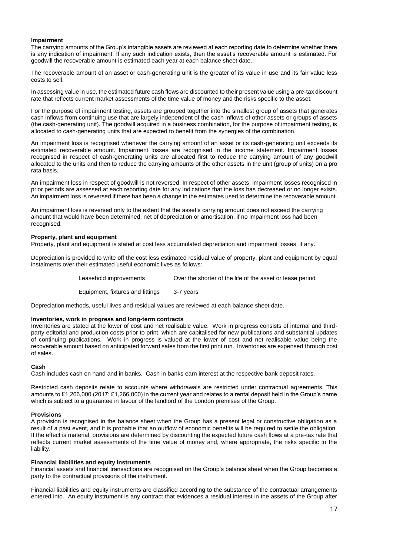### **Impairment**

The carrying amounts of the Group's intangible assets are reviewed at each reporting date to determine whether there is any indication of impairment. If any such indication exists, then the asset's recoverable amount is estimated. For goodwill the recoverable amount is estimated each year at each balance sheet date.

The recoverable amount of an asset or cash-generating unit is the greater of its value in use and its fair value less costs to sell.

In assessing value in use, the estimated future cash flows are discounted to their present value using a pre-tax discount rate that reflects current market assessments of the time value of money and the risks specific to the asset.

For the purpose of impairment testing, assets are grouped together into the smallest group of assets that generates cash inflows from continuing use that are largely independent of the cash inflows of other assets or groups of assets (the cash-generating unit). The goodwill acquired in a business combination, for the purpose of impairment testing, is allocated to cash-generating units that are expected to benefit from the synergies of the combination.

An impairment loss is recognised whenever the carrying amount of an asset or its cash-generating unit exceeds its estimated recoverable amount. Impairment losses are recognised in the income statement. Impairment losses recognised in respect of cash-generating units are allocated first to reduce the carrying amount of any goodwill allocated to the units and then to reduce the carrying amounts of the other assets in the unit (group of units) on a pro rata basis.

An impairment loss in respect of goodwill is not reversed. In respect of other assets, impairment losses recognised in prior periods are assessed at each reporting date for any indications that the loss has decreased or no longer exists. An impairment loss is reversed if there has been a change in the estimates used to determine the recoverable amount.

An impairment loss is reversed only to the extent that the asset's carrying amount does not exceed the carrying amount that would have been determined, net of depreciation or amortisation, if no impairment loss had been recognised.

### **Property, plant and equipment**

Property, plant and equipment is stated at cost less accumulated depreciation and impairment losses, if any.

Depreciation is provided to write off the cost less estimated residual value of property, plant and equipment by equal instalments over their estimated useful economic lives as follows:

| Leasehold improvements           | Over the shorter of the life of the asset or lease period |
|----------------------------------|-----------------------------------------------------------|
| Equipment, fixtures and fittings | 3-7 vears                                                 |

Depreciation methods, useful lives and residual values are reviewed at each balance sheet date.

### **Inventories, work in progress and long-term contracts**

Inventories are stated at the lower of cost and net realisable value. Work in progress consists of internal and thirdparty editorial and production costs prior to print, which are capitalised for new publications and substantial updates of continuing publications. Work in progress is valued at the lower of cost and net realisable value being the recoverable amount based on anticipated forward sales from the first print run. Inventories are expensed through cost of sales.

### **Cash**

Cash includes cash on hand and in banks. Cash in banks earn interest at the respective bank deposit rates.

Restricted cash deposits relate to accounts where withdrawals are restricted under contractual agreements. This amounts to £1,266,000 (2017: £1,266,000) in the current year and relates to a rental deposit held in the Group's name which is subject to a guarantee in favour of the landlord of the London premises of the Group.

### **Provisions**

A provision is recognised in the balance sheet when the Group has a present legal or constructive obligation as a result of a past event, and it is probable that an outflow of economic benefits will be required to settle the obligation. If the effect is material, provisions are determined by discounting the expected future cash flows at a pre-tax rate that reflects current market assessments of the time value of money and, where appropriate, the risks specific to the liability.

#### **Financial liabilities and equity instruments**

Financial assets and financial transactions are recognised on the Group's balance sheet when the Group becomes a party to the contractual provisions of the instrument.

Financial liabilities and equity instruments are classified according to the substance of the contractual arrangements entered into. An equity instrument is any contract that evidences a residual interest in the assets of the Group after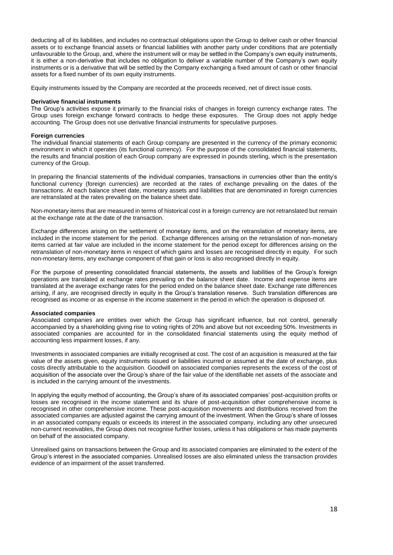deducting all of its liabilities, and includes no contractual obligations upon the Group to deliver cash or other financial assets or to exchange financial assets or financial liabilities with another party under conditions that are potentially unfavourable to the Group, and, where the instrument will or may be settled in the Company's own equity instruments, it is either a non-derivative that includes no obligation to deliver a variable number of the Company's own equity instruments or is a derivative that will be settled by the Company exchanging a fixed amount of cash or other financial assets for a fixed number of its own equity instruments.

Equity instruments issued by the Company are recorded at the proceeds received, net of direct issue costs.

#### **Derivative financial instruments**

The Group's activities expose it primarily to the financial risks of changes in foreign currency exchange rates. The Group uses foreign exchange forward contracts to hedge these exposures. The Group does not apply hedge accounting. The Group does not use derivative financial instruments for speculative purposes.

### **Foreign currencies**

The individual financial statements of each Group company are presented in the currency of the primary economic environment in which it operates (its functional currency). For the purpose of the consolidated financial statements, the results and financial position of each Group company are expressed in pounds sterling, which is the presentation currency of the Group.

In preparing the financial statements of the individual companies, transactions in currencies other than the entity's functional currency (foreign currencies) are recorded at the rates of exchange prevailing on the dates of the transactions. At each balance sheet date, monetary assets and liabilities that are denominated in foreign currencies are retranslated at the rates prevailing on the balance sheet date.

Non-monetary items that are measured in terms of historical cost in a foreign currency are not retranslated but remain at the exchange rate at the date of the transaction.

Exchange differences arising on the settlement of monetary items, and on the retranslation of monetary items, are included in the income statement for the period. Exchange differences arising on the retranslation of non-monetary items carried at fair value are included in the income statement for the period except for differences arising on the retranslation of non-monetary items in respect of which gains and losses are recognised directly in equity. For such non-monetary items, any exchange component of that gain or loss is also recognised directly in equity.

For the purpose of presenting consolidated financial statements, the assets and liabilities of the Group's foreign operations are translated at exchange rates prevailing on the balance sheet date. Income and expense items are translated at the average exchange rates for the period ended on the balance sheet date. Exchange rate differences arising, if any, are recognised directly in equity in the Group's translation reserve. Such translation differences are recognised as income or as expense in the income statement in the period in which the operation is disposed of.

### **Associated companies**

Associated companies are entities over which the Group has significant influence, but not control, generally accompanied by a shareholding giving rise to voting rights of 20% and above but not exceeding 50%. Investments in associated companies are accounted for in the consolidated financial statements using the equity method of accounting less impairment losses, if any.

Investments in associated companies are initially recognised at cost. The cost of an acquisition is measured at the fair value of the assets given, equity instruments issued or liabilities incurred or assumed at the date of exchange, plus costs directly attributable to the acquisition. Goodwill on associated companies represents the excess of the cost of acquisition of the associate over the Group's share of the fair value of the identifiable net assets of the associate and is included in the carrying amount of the investments.

In applying the equity method of accounting, the Group's share of its associated companies' post-acquisition profits or losses are recognised in the income statement and its share of post-acquisition other comprehensive income is recognised in other comprehensive income. These post-acquisition movements and distributions received from the associated companies are adjusted against the carrying amount of the investment. When the Group's share of losses in an associated company equals or exceeds its interest in the associated company, including any other unsecured non-current receivables, the Group does not recognise further losses, unless it has obligations or has made payments on behalf of the associated company.

Unrealised gains on transactions between the Group and its associated companies are eliminated to the extent of the Group's interest in the associated companies. Unrealised losses are also eliminated unless the transaction provides evidence of an impairment of the asset transferred.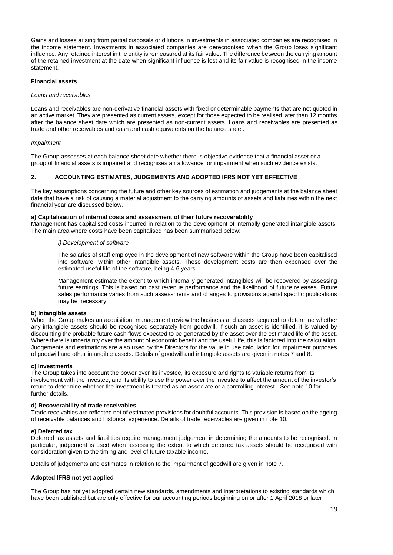Gains and losses arising from partial disposals or dilutions in investments in associated companies are recognised in the income statement. Investments in associated companies are derecognised when the Group loses significant influence. Any retained interest in the entity is remeasured at its fair value. The difference between the carrying amount of the retained investment at the date when significant influence is lost and its fair value is recognised in the income statement.

### **Financial assets**

#### *Loans and receivables*

Loans and receivables are non-derivative financial assets with fixed or determinable payments that are not quoted in an active market. They are presented as current assets, except for those expected to be realised later than 12 months after the balance sheet date which are presented as non-current assets. Loans and receivables are presented as trade and other receivables and cash and cash equivalents on the balance sheet.

#### *Impairment*

The Group assesses at each balance sheet date whether there is objective evidence that a financial asset or a group of financial assets is impaired and recognises an allowance for impairment when such evidence exists.

### **2. ACCOUNTING ESTIMATES, JUDGEMENTS AND ADOPTED IFRS NOT YET EFFECTIVE**

The key assumptions concerning the future and other key sources of estimation and judgements at the balance sheet date that have a risk of causing a material adjustment to the carrying amounts of assets and liabilities within the next financial year are discussed below.

#### **a) Capitalisation of internal costs and assessment of their future recoverability**

Management has capitalised costs incurred in relation to the development of internally generated intangible assets. The main area where costs have been capitalised has been summarised below:

#### *i) Development of software*

The salaries of staff employed in the development of new software within the Group have been capitalised into software, within other intangible assets. These development costs are then expensed over the estimated useful life of the software, being 4-6 years.

Management estimate the extent to which internally generated intangibles will be recovered by assessing future earnings. This is based on past revenue performance and the likelihood of future releases. Future sales performance varies from such assessments and changes to provisions against specific publications may be necessary.

### **b) Intangible assets**

When the Group makes an acquisition, management review the business and assets acquired to determine whether any intangible assets should be recognised separately from goodwill. If such an asset is identified, it is valued by discounting the probable future cash flows expected to be generated by the asset over the estimated life of the asset. Where there is uncertainty over the amount of economic benefit and the useful life, this is factored into the calculation. Judgements and estimations are also used by the Directors for the value in use calculation for impairment purposes of goodwill and other intangible assets. Details of goodwill and intangible assets are given in notes 7 and 8.

### **c) Investments**

The Group takes into account the power over its investee, its exposure and rights to variable returns from its involvement with the investee, and its ability to use the power over the investee to affect the amount of the investor's return to determine whether the investment is treated as an associate or a controlling interest. See note 10 for further details.

#### **d) Recoverability of trade receivables**

Trade receivables are reflected net of estimated provisions for doubtful accounts. This provision is based on the ageing of receivable balances and historical experience. Details of trade receivables are given in note 10.

### **e) Deferred tax**

Deferred tax assets and liabilities require management judgement in determining the amounts to be recognised. In particular, judgement is used when assessing the extent to which deferred tax assets should be recognised with consideration given to the timing and level of future taxable income.

Details of judgements and estimates in relation to the impairment of goodwill are given in note 7.

### **Adopted IFRS not yet applied**

The Group has not yet adopted certain new standards, amendments and interpretations to existing standards which have been published but are only effective for our accounting periods beginning on or after 1 April 2018 or later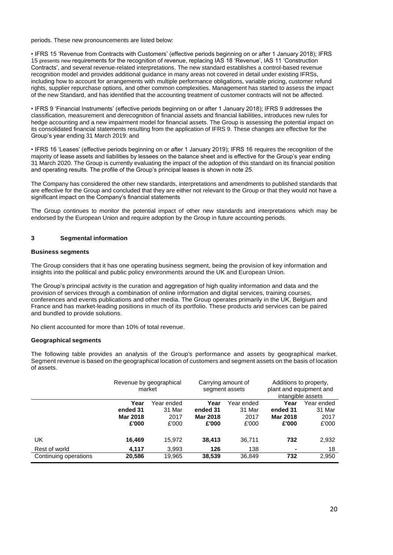periods. These new pronouncements are listed below:

• IFRS 15 'Revenue from Contracts with Customers' (effective periods beginning on or after 1 January 2018); IFRS 15 presents new requirements for the recognition of revenue, replacing IAS 18 'Revenue', IAS 11 'Construction Contracts', and several revenue-related interpretations. The new standard establishes a control-based revenue recognition model and provides additional guidance in many areas not covered in detail under existing IFRSs, including how to account for arrangements with multiple performance obligations, variable pricing, customer refund rights, supplier repurchase options, and other common complexities. Management has started to assess the impact of the new Standard, and has identified that the accounting treatment of customer contracts will not be affected.

• IFRS 9 'Financial Instruments' (effective periods beginning on or after 1 January 2018); IFRS 9 addresses the classification, measurement and derecognition of financial assets and financial liabilities, introduces new rules for hedge accounting and a new impairment model for financial assets. The Group is assessing the potential impact on its consolidated financial statements resulting from the application of IFRS 9. These changes are effective for the Group's year ending 31 March 2019: and

• IFRS 16 'Leases' (effective periods beginning on or after 1 January 2019); IFRS 16 requires the recognition of the majority of lease assets and liabilities by lessees on the balance sheet and is effective for the Group's year ending 31 March 2020. The Group is currently evaluating the impact of the adoption of this standard on its financial position and operating results. The profile of the Group's principal leases is shown in note 25.

The Company has considered the other new standards, interpretations and amendments to published standards that are effective for the Group and concluded that they are either not relevant to the Group or that they would not have a significant impact on the Company's financial statements

The Group continues to monitor the potential impact of other new standards and interpretations which may be endorsed by the European Union and require adoption by the Group in future accounting periods.

### **3 Segmental information**

#### **Business segments**

The Group considers that it has one operating business segment, being the provision of key information and insights into the political and public policy environments around the UK and European Union.

The Group's principal activity is the curation and aggregation of high quality information and data and the provision of services through a combination of online information and digital services, training courses, conferences and events publications and other media. The Group operates primarily in the UK, Belgium and France and has market-leading positions in much of its portfolio. These products and services can be paired and bundled to provide solutions.

No client accounted for more than 10% of total revenue.

### **Geographical segments**

The following table provides an analysis of the Group's performance and assets by geographical market. Segment revenue is based on the geographical location of customers and segment assets on the basis of location of assets.

|                       |          | Revenue by geographical<br>market | Carrying amount of<br>segment assets |            | plant and equipment and | Additions to property,<br>intangible assets |
|-----------------------|----------|-----------------------------------|--------------------------------------|------------|-------------------------|---------------------------------------------|
|                       | Year     | Year ended                        | Year                                 | Year ended | Year                    | Year ended                                  |
|                       | ended 31 | 31 Mar                            | ended 31                             | 31 Mar     | ended 31                | 31 Mar                                      |
|                       | Mar 2018 | 2017                              | Mar 2018                             | 2017       | Mar 2018                | 2017                                        |
|                       | £'000    | £'000                             | £'000                                | £'000      | £'000                   | £'000                                       |
| UK                    | 16,469   | 15,972                            | 38,413                               | 36,711     | 732                     | 2,932                                       |
| Rest of world         | 4.117    | 3,993                             | 126                                  | 138        | $\blacksquare$          | 18                                          |
| Continuing operations | 20,586   | 19,965                            | 38,539                               | 36,849     | 732                     | 2,950                                       |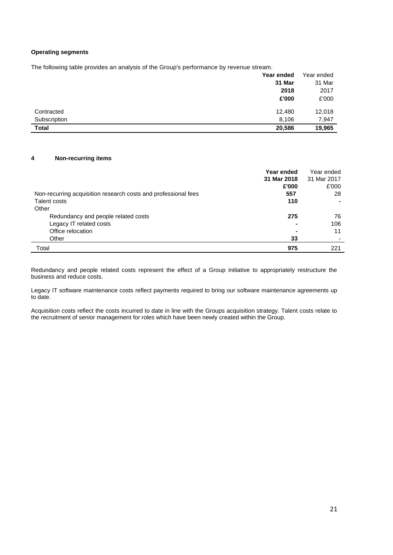# **Operating segments**

The following table provides an analysis of the Group's performance by revenue stream.

|              | Year ended | Year ended |
|--------------|------------|------------|
|              | 31 Mar     | 31 Mar     |
|              | 2018       | 2017       |
|              | £'000      | £'000      |
| Contracted   | 12,480     | 12,018     |
| Subscription | 8,106      | 7,947      |
| <b>Total</b> | 20,586     | 19,965     |

### **4 Non-recurring items**

|                                                                | Year ended<br>31 Mar 2018 | Year ended<br>31 Mar 2017 |
|----------------------------------------------------------------|---------------------------|---------------------------|
|                                                                | £'000                     | £'000                     |
| Non-recurring acquisition research costs and professional fees | 557                       | 28                        |
| Talent costs                                                   | 110                       |                           |
| Other                                                          |                           |                           |
| Redundancy and people related costs                            | 275                       | 76                        |
| Legacy IT related costs                                        |                           | 106                       |
| Office relocation                                              | $\blacksquare$            | 11                        |
| Other                                                          | 33                        |                           |
| Total                                                          | 975                       | 221                       |

Redundancy and people related costs represent the effect of a Group initiative to appropriately restructure the business and reduce costs.

Legacy IT software maintenance costs reflect payments required to bring our software maintenance agreements up to date.

Acquisition costs reflect the costs incurred to date in line with the Groups acquisition strategy. Talent costs relate to the recruitment of senior management for roles which have been newly created within the Group.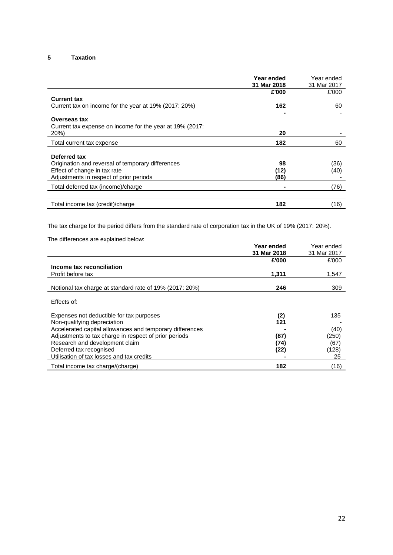# **5 Taxation**

|                                                                                                                                              | Year ended<br>31 Mar 2018 | Year ended<br>31 Mar 2017 |
|----------------------------------------------------------------------------------------------------------------------------------------------|---------------------------|---------------------------|
| <b>Current tax</b>                                                                                                                           | £'000                     | £'000                     |
| Current tax on income for the year at 19% (2017: 20%)                                                                                        | 162                       | 60                        |
| Overseas tax<br>Current tax expense on income for the year at 19% (2017:<br>20%                                                              | 20                        |                           |
| Total current tax expense                                                                                                                    | 182                       | 60                        |
| Deferred tax<br>Origination and reversal of temporary differences<br>Effect of change in tax rate<br>Adjustments in respect of prior periods | 98<br>(12)<br>(86)        | (36)<br>(40)              |
| Total deferred tax (income)/charge                                                                                                           |                           | (76)                      |
| Total income tax (credit)/charge                                                                                                             | 182                       | (16)                      |

The tax charge for the period differs from the standard rate of corporation tax in the UK of 19% (2017: 20%).

The differences are explained below:

|                                                          | Year ended  | Year ended  |
|----------------------------------------------------------|-------------|-------------|
|                                                          | 31 Mar 2018 | 31 Mar 2017 |
|                                                          | £'000       | £'000       |
| Income tax reconciliation                                |             |             |
| Profit before tax                                        | 1,311       | 1,547       |
|                                                          |             |             |
| Notional tax charge at standard rate of 19% (2017: 20%)  | 246         | 309         |
|                                                          |             |             |
| Effects of:                                              |             |             |
| Expenses not deductible for tax purposes                 | (2)         | 135         |
| Non-qualifying depreciation                              | 121         |             |
| Accelerated capital allowances and temporary differences |             | (40)        |
| Adjustments to tax charge in respect of prior periods    | (87)        | (250)       |
| Research and development claim                           | (74)        | (67)        |
| Deferred tax recognised                                  | (22)        | (128)       |
| Utilisation of tax losses and tax credits                |             | 25          |
| Total income tax charge/(charge)                         | 182         | (16)        |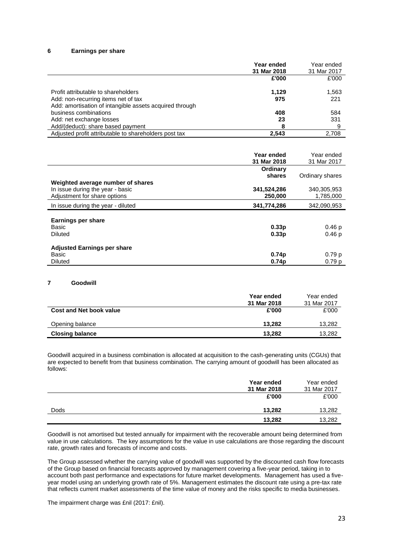### **6 Earnings per share**

|                                                                                                | Year ended<br>31 Mar 2018 | Year ended<br>31 Mar 2017 |
|------------------------------------------------------------------------------------------------|---------------------------|---------------------------|
|                                                                                                | £'000                     | £'000                     |
| Profit attributable to shareholders                                                            | 1.129                     | 1,563                     |
| Add: non-recurring items net of tax<br>Add: amortisation of intangible assets acquired through | 975                       | 221                       |
| business combinations                                                                          | 408                       | 584                       |
| Add: net exchange losses                                                                       | 23                        | 331                       |
| Add/(deduct): share based payment                                                              | 8                         | 9                         |
| Adjusted profit attributable to shareholders post tax                                          | 2.543                     | 2.708                     |

|                                                                  | Year ended<br>31 Mar 2018              | Year ended<br>31 Mar 2017              |
|------------------------------------------------------------------|----------------------------------------|----------------------------------------|
| Weighted average number of shares                                | Ordinary<br>shares                     | Ordinary shares                        |
| In issue during the year - basic<br>Adjustment for share options | 341,524,286<br>250,000                 | 340,305,953<br>1.785.000               |
| In issue during the year - diluted                               | 341,774,286                            | 342,090,953                            |
| <b>Earnings per share</b><br>Basic<br><b>Diluted</b>             | 0.33 <sub>p</sub><br>0.33 <sub>p</sub> | 0.46 <sub>p</sub><br>0.46 <sub>p</sub> |
| <b>Adjusted Earnings per share</b><br>Basic<br><b>Diluted</b>    | 0.74 <sub>p</sub><br>0.74 <sub>p</sub> | 0.79 <sub>p</sub><br>0.79 <sub>p</sub> |

### **7 Goodwill**

|                                | <b>Year ended</b> | Year ended  |
|--------------------------------|-------------------|-------------|
|                                | 31 Mar 2018       | 31 Mar 2017 |
| <b>Cost and Net book value</b> | £'000             | £'000       |
|                                |                   |             |
| Opening balance                | 13.282            | 13,282      |
| <b>Closing balance</b>         | 13.282            | 13,282      |

Goodwill acquired in a business combination is allocated at acquisition to the cash-generating units (CGUs) that are expected to benefit from that business combination. The carrying amount of goodwill has been allocated as follows:

|      | Year ended<br>31 Mar 2018 | Year ended<br>31 Mar 2017 |
|------|---------------------------|---------------------------|
|      | £'000                     | £'000                     |
| Dods | 13,282                    | 13,282                    |
|      | 13,282                    | 13,282                    |

Goodwill is not amortised but tested annually for impairment with the recoverable amount being determined from value in use calculations. The key assumptions for the value in use calculations are those regarding the discount rate, growth rates and forecasts of income and costs.

The Group assessed whether the carrying value of goodwill was supported by the discounted cash flow forecasts of the Group based on financial forecasts approved by management covering a five-year period, taking in to account both past performance and expectations for future market developments. Management has used a fiveyear model using an underlying growth rate of 5%. Management estimates the discount rate using a pre-tax rate that reflects current market assessments of the time value of money and the risks specific to media businesses.

The impairment charge was £nil (2017: £nil).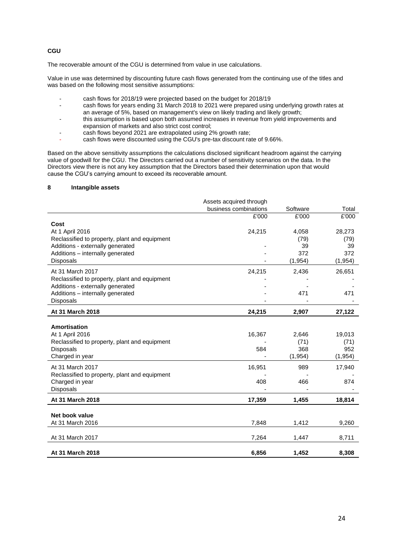# **CGU**

The recoverable amount of the CGU is determined from value in use calculations.

Value in use was determined by discounting future cash flows generated from the continuing use of the titles and was based on the following most sensitive assumptions:

- cash flows for 2018/19 were projected based on the budget for 2018/19
- cash flows for years ending 31 March 2018 to 2021 were prepared using underlying growth rates at an average of 5%, based on management's view on likely trading and likely growth;
- this assumption is based upon both assumed increases in revenue from yield improvements and expansion of markets and also strict cost control;
- cash flows beyond 2021 are extrapolated using 2% growth rate;
- cash flows were discounted using the CGU's pre-tax discount rate of 9.66%.

Based on the above sensitivity assumptions the calculations disclosed significant headroom against the carrying value of goodwill for the CGU. The Directors carried out a number of sensitivity scenarios on the data. In the Directors view there is not any key assumption that the Directors based their determination upon that would cause the CGU's carrying amount to exceed its recoverable amount.

### **8 Intangible assets**

|                                               | Assets acquired through |          |          |
|-----------------------------------------------|-------------------------|----------|----------|
|                                               | business combinations   | Software | Total    |
|                                               | £'000                   | £'000    | £'000    |
| Cost                                          |                         |          |          |
| At 1 April 2016                               | 24,215                  | 4,058    | 28,273   |
| Reclassified to property, plant and equipment |                         | (79)     | (79)     |
| Additions - externally generated              |                         | 39       | 39       |
| Additions - internally generated              |                         | 372      | 372      |
| <b>Disposals</b>                              |                         | (1, 954) | (1, 954) |
|                                               |                         |          |          |
| At 31 March 2017                              | 24,215                  | 2,436    | 26,651   |
| Reclassified to property, plant and equipment |                         |          |          |
| Additions - externally generated              |                         |          |          |
| Additions - internally generated              |                         | 471      | 471      |
| <b>Disposals</b>                              |                         |          |          |
| At 31 March 2018                              | 24,215                  | 2,907    | 27,122   |
|                                               |                         |          |          |
| Amortisation                                  |                         |          |          |
| At 1 April 2016                               | 16,367                  | 2,646    | 19,013   |
| Reclassified to property, plant and equipment |                         | (71)     | (71)     |
| <b>Disposals</b>                              | 584                     | 368      | 952      |
| Charged in year                               |                         | (1, 954) | (1, 954) |
| At 31 March 2017                              | 16,951                  | 989      | 17,940   |
| Reclassified to property, plant and equipment |                         |          |          |
| Charged in year                               | 408                     | 466      | 874      |
| Disposals                                     |                         |          |          |
| At 31 March 2018                              | 17,359                  | 1,455    | 18,814   |
|                                               |                         |          |          |
| Net book value                                |                         |          |          |
| At 31 March 2016                              | 7,848                   | 1,412    | 9,260    |
|                                               |                         |          |          |
| At 31 March 2017                              | 7,264                   | 1,447    | 8,711    |
|                                               |                         |          |          |
| At 31 March 2018                              | 6,856                   | 1,452    | 8,308    |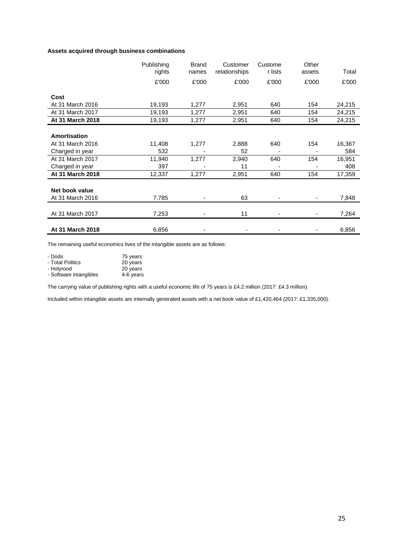# **Assets acquired through business combinations**

|                     | Publishing<br>rights | <b>Brand</b><br>names | Customer<br>relationships | Custome<br>r lists | Other<br>assets | Total  |
|---------------------|----------------------|-----------------------|---------------------------|--------------------|-----------------|--------|
|                     |                      |                       |                           |                    |                 |        |
|                     | £'000                | £'000                 | £'000                     | £'000              | £'000           | £'000  |
| Cost                |                      |                       |                           |                    |                 |        |
| At 31 March 2016    | 19,193               | 1,277                 | 2,951                     | 640                | 154             | 24,215 |
| At 31 March 2017    | 19,193               | 1,277                 | 2,951                     | 640                | 154             | 24,215 |
| At 31 March 2018    | 19,193               | 1,277                 | 2,951                     | 640                | 154             | 24,215 |
|                     |                      |                       |                           |                    |                 |        |
| <b>Amortisation</b> |                      |                       |                           |                    |                 |        |
| At 31 March 2016    | 11,408               | 1,277                 | 2,888                     | 640                | 154             | 16,367 |
| Charged in year     | 532                  |                       | 52                        |                    |                 | 584    |
| At 31 March 2017    | 11.940               | 1,277                 | 2,940                     | 640                | 154             | 16,951 |
| Charged in year     | 397                  |                       | 11                        |                    |                 | 408    |
| At 31 March 2018    | 12,337               | 1,277                 | 2,951                     | 640                | 154             | 17,359 |
|                     |                      |                       |                           |                    |                 |        |
| Net book value      |                      |                       |                           |                    |                 |        |
| At 31 March 2016    | 7,785                |                       | 63                        |                    | ۰               | 7,848  |
|                     |                      |                       |                           |                    |                 |        |
| At 31 March 2017    | 7,253                | -                     | 11                        | ٠                  | ٠               | 7,264  |
| At 31 March 2018    | 6,856                |                       |                           | $\overline{a}$     |                 | 6,856  |

The remaining useful economics lives of the intangible assets are as follows:

- Dods 75 years - Total Politics 20 years - Dods 75 years<br>- Total Politics 20 years<br>- Holyrood 20 years<br>- Software intangibles 4-6 years - Software intangibles

The carrying value of publishing rights with a useful economic life of 75 years is £4.2 million (2017: £4.3 million).

Included within intangible assets are internally generated assets with a net book value of £1,420,464 (2017: £1,335,000).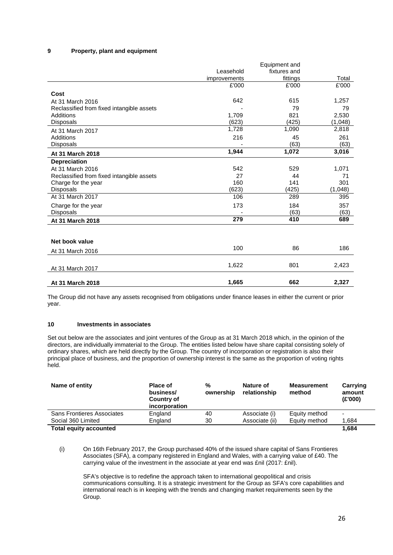### **9 Property, plant and equipment**

|                                           |              | Equipment and |         |
|-------------------------------------------|--------------|---------------|---------|
|                                           | Leasehold    | fixtures and  |         |
|                                           | improvements | fittings      | Total   |
|                                           | £'000        | £'000         | £'000   |
| Cost                                      |              |               |         |
| At 31 March 2016                          | 642          | 615           | 1,257   |
| Reclassified from fixed intangible assets |              | 79            | 79      |
| Additions                                 | 1,709        | 821           | 2,530   |
| <b>Disposals</b>                          | (623)        | (425)         | (1,048) |
| At 31 March 2017                          | 1,728        | 1,090         | 2,818   |
| Additions                                 | 216          | 45            | 261     |
| Disposals                                 |              | (63)          | (63)    |
| At 31 March 2018                          | 1,944        | 1,072         | 3,016   |
| <b>Depreciation</b>                       |              |               |         |
| At 31 March 2016                          | 542          | 529           | 1,071   |
| Reclassified from fixed intangible assets | 27           | 44            | 71      |
| Charge for the year                       | 160          | 141           | 301     |
| <b>Disposals</b>                          | (623)        | (425)         | (1,048) |
| At 31 March 2017                          | 106          | 289           | 395     |
| Charge for the year                       | 173          | 184           | 357     |
| <b>Disposals</b>                          |              | (63)          | (63)    |
| At 31 March 2018                          | 279          | 410           | 689     |
|                                           |              |               |         |
| Net book value                            |              |               |         |
|                                           | 100          | 86            | 186     |
| At 31 March 2016                          |              |               |         |
|                                           | 1,622        | 801           | 2,423   |
| At 31 March 2017                          |              |               |         |
| At 31 March 2018                          | 1,665        | 662           | 2,327   |

The Group did not have any assets recognised from obligations under finance leases in either the current or prior year.

### **10 Investments in associates**

Set out below are the associates and joint ventures of the Group as at 31 March 2018 which, in the opinion of the directors, are individually immaterial to the Group. The entities listed below have share capital consisting solely of ordinary shares, which are held directly by the Group. The country of incorporation or registration is also their principal place of business, and the proportion of ownership interest is the same as the proportion of voting rights held.

| Name of entity                    | <b>Place of</b><br>business/<br>Country of<br>incorporation | $\frac{0}{0}$<br>ownership | Nature of<br>relationship | <b>Measurement</b><br>method | Carrying<br>amount<br>(E'000) |
|-----------------------------------|-------------------------------------------------------------|----------------------------|---------------------------|------------------------------|-------------------------------|
| <b>Sans Frontieres Associates</b> | England                                                     | 40                         | Associate (i)             | Equity method                | $\overline{a}$                |
| Social 360 Limited                | England                                                     | 30                         | Associate (ii)            | Equity method                | 1.684                         |
| <b>Total equity accounted</b>     |                                                             |                            |                           |                              | 1,684                         |

(i) On 16th February 2017, the Group purchased 40% of the issued share capital of Sans Frontieres Associates (SFA), a company registered in England and Wales, with a carrying value of £40. The carrying value of the investment in the associate at year end was £nil (2017: £nil).

SFA's objective is to redefine the approach taken to international geopolitical and crisis communications consulting. It is a strategic investment for the Group as SFA's core capabilities and international reach is in keeping with the trends and changing market requirements seen by the Group.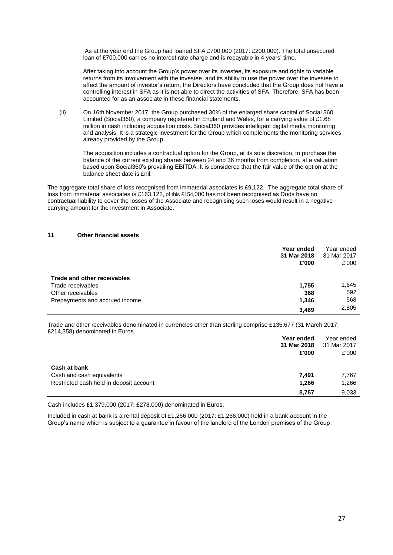As at the year end the Group had loaned SFA £700,000 (2017: £200,000). The total unsecured loan of £700,000 carries no interest rate charge and is repayable in 4 years' time.

After taking into account the Group's power over its investee, its exposure and rights to variable returns from its involvement with the investee, and its ability to use the power over the investee to affect the amount of investor's return, the Directors have concluded that the Group does not have a controlling interest in SFA as it is not able to direct the activities of SFA. Therefore, SFA has been accounted for as an associate in these financial statements.

(ii) On 16th November 2017, the Group purchased 30% of the enlarged share capital of Social 360 Limited (Social360), a company registered in England and Wales, for a carrying value of £1.68 million in cash including acquisition costs. Social360 provides intelligent digital media monitoring and analysis. It is a strategic investment for the Group which complements the monitoring services already provided by the Group.

The acquisition includes a contractual option for the Group, at its sole discretion, to purchase the balance of the current existing shares between 24 and 36 months from completion, at a valuation based upon Social360's prevailing EBITDA. It is considered that the fair value of the option at the balance sheet date is £nil.

The aggregate total share of loss recognised from immaterial associates is £9,122. The aggregate total share of loss from immaterial associates is £163,122, of this £154,000 has not been recognised as Dods have no contractual liability to cover the losses of the Associate and recognising such loses would result in a negative carrying amount for the investment in Associate.

### **11 Other financial assets**

|                                | Year ended<br>31 Mar 2018<br>£'000 | Year ended<br>31 Mar 2017<br>£'000 |
|--------------------------------|------------------------------------|------------------------------------|
| Trade and other receivables    |                                    |                                    |
| Trade receivables              | 1.755                              | 1,645                              |
| Other receivables              | 368                                | 592                                |
| Prepayments and accrued income | 1,346                              | 568                                |
|                                | 3.469                              | 2,805                              |

Trade and other receivables denominated in currencies other than sterling comprise £135,677 (31 March 2017: £214,358) denominated in Euros.

| Year ended                              |       | Year ended  |
|-----------------------------------------|-------|-------------|
| 31 Mar 2018                             |       | 31 Mar 2017 |
|                                         | £'000 | £'000       |
|                                         |       |             |
| Cash at bank                            |       |             |
| Cash and cash equivalents               | 7.491 | 7,767       |
| Restricted cash held in deposit account | 1,266 | 1,266       |
|                                         | 8.757 | 9.033       |

Cash includes £1,379,000 (2017: £278,000) denominated in Euros.

Included in cash at bank is a rental deposit of £1,266,000 (2017: £1,266,000) held in a bank account in the Group's name which is subject to a guarantee in favour of the landlord of the London premises of the Group.